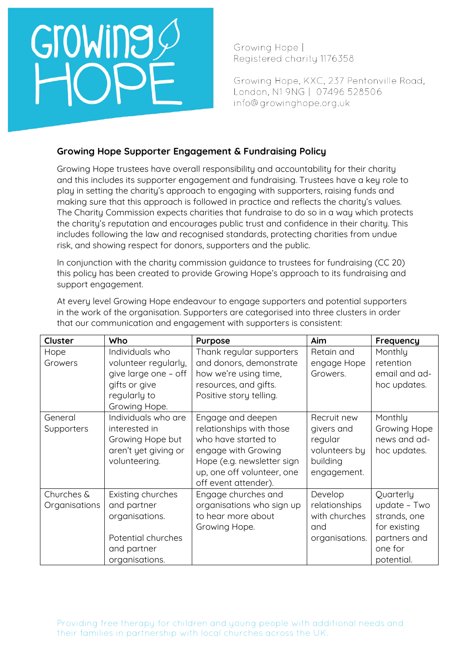# Growing

Growing Hope | Reaistered charity 1176358

Growing Hope, KXC, 237 Pentonville Road, London, N1 9NG | 07496 528506 info@growinghope.org.uk

# **Growing Hope Supporter Engagement & Fundraising Policy**

Growing Hope trustees have overall responsibility and accountability for their charity and this includes its supporter engagement and fundraising. Trustees have a key role to play in setting the charity's approach to engaging with supporters, raising funds and making sure that this approach is followed in practice and reflects the charity's values. The Charity Commission expects charities that fundraise to do so in a way which protects the charity's reputation and encourages public trust and confidence in their charity. This includes following the law and recognised standards, protecting charities from undue risk, and showing respect for donors, supporters and the public.

In conjunction with the charity commission guidance to trustees for fundraising (CC 20) this policy has been created to provide Growing Hope's approach to its fundraising and support engagement.

| Cluster                     | Who                                                                                                               | Purpose                                                                                                                                                                         | Aim                                                                              | Frequency                                                                                          |
|-----------------------------|-------------------------------------------------------------------------------------------------------------------|---------------------------------------------------------------------------------------------------------------------------------------------------------------------------------|----------------------------------------------------------------------------------|----------------------------------------------------------------------------------------------------|
| Hope<br>Growers             | Individuals who<br>volunteer regularly,<br>give large one - off<br>gifts or give<br>regularly to<br>Growing Hope. | Thank regular supporters<br>and donors, demonstrate<br>how we're using time,<br>resources, and gifts.<br>Positive story telling.                                                | Retain and<br>engage Hope<br>Growers.                                            | Monthly<br>retention<br>email and ad-<br>hoc updates.                                              |
| General<br>Supporters       | Individuals who are<br>interested in<br>Growing Hope but<br>aren't yet giving or<br>volunteering.                 | Engage and deepen<br>relationships with those<br>who have started to<br>engage with Growing<br>Hope (e.g. newsletter sign<br>up, one off volunteer, one<br>off event attender). | Recruit new<br>givers and<br>regular<br>volunteers by<br>building<br>engagement. | Monthly<br>Growing Hope<br>news and ad-<br>hoc updates.                                            |
| Churches &<br>Organisations | Existing churches<br>and partner<br>organisations.<br>Potential churches<br>and partner<br>organisations.         | Engage churches and<br>organisations who sign up<br>to hear more about<br>Growing Hope.                                                                                         | Develop<br>relationships<br>with churches<br>and<br>organisations.               | Quarterly<br>update - Two<br>strands, one<br>for existing<br>partners and<br>one for<br>potential. |

At every level Growing Hope endeavour to engage supporters and potential supporters in the work of the organisation. Supporters are categorised into three clusters in order that our communication and engagement with supporters is consistent: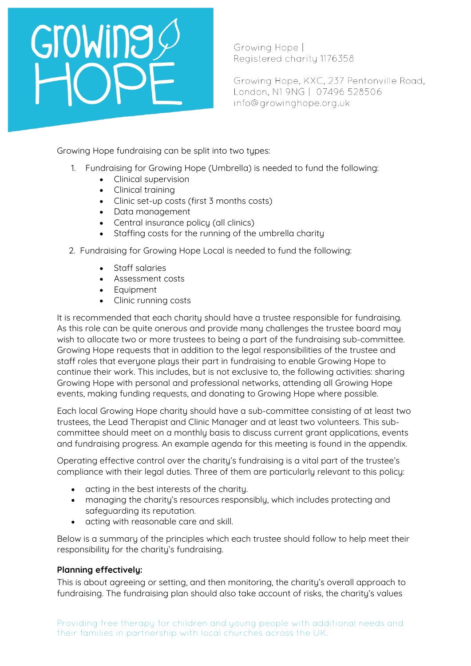# Growing

Growing Hope | Reaistered charity 1176358

Growing Hope, KXC, 237 Pentonville Road, London, N1 9NG | 07496 528506 info@growinghope.org.uk

Growing Hope fundraising can be split into two types:

- 1. Fundraising for Growing Hope (Umbrella) is needed to fund the following:
	- Clinical supervision
	- Clinical training
	- Clinic set-up costs (first 3 months costs)
	- Data management
	- Central insurance policu (all clinics)
	- Staffing costs for the running of the umbrella charity
- 2. Fundraising for Growing Hope Local is needed to fund the following:
	- Staff salaries
	- Assessment costs
	- Equipment
	- Clinic running costs

It is recommended that each charity should have a trustee responsible for fundraising. As this role can be quite onerous and provide many challenges the trustee board may wish to allocate two or more trustees to being a part of the fundraising sub-committee. Growing Hope requests that in addition to the legal responsibilities of the trustee and staff roles that everyone plays their part in fundraising to enable Growing Hope to continue their work. This includes, but is not exclusive to, the following activities: sharing Growing Hope with personal and professional networks, attending all Growing Hope events, making funding requests, and donating to Growing Hope where possible.

Each local Growing Hope charity should have a sub-committee consisting of at least two trustees, the Lead Therapist and Clinic Manager and at least two volunteers. This subcommittee should meet on a monthly basis to discuss current grant applications, events and fundraising progress. An example agenda for this meeting is found in the appendix.

Operating effective control over the charity's fundraising is a vital part of the trustee's compliance with their legal duties. Three of them are particularly relevant to this policy:

- acting in the best interests of the charity.
- managing the charity's resources responsibly, which includes protecting and safeguarding its reputation.
- acting with reasonable care and skill.

Below is a summary of the principles which each trustee should follow to help meet their responsibility for the charity's fundraising.

# **Planning effectively:**

This is about agreeing or setting, and then monitoring, the charity's overall approach to fundraising. The fundraising plan should also take account of risks, the charity's values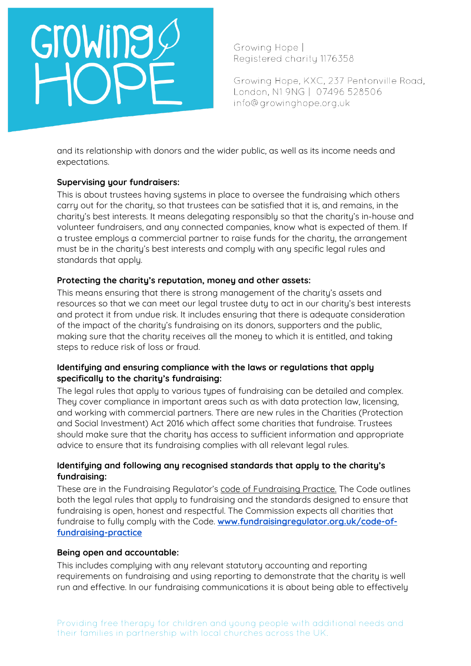# Growing

Growing Hope | Reaistered charity 1176358

Growing Hope, KXC, 237 Pentonville Road, London, N1 9NG | 07496 528506 info@growinghope.org.uk

and its relationship with donors and the wider public, as well as its income needs and expectations.

# **Supervising your fundraisers:**

This is about trustees having systems in place to oversee the fundraising which others carry out for the charity, so that trustees can be satisfied that it is, and remains, in the charity's best interests. It means delegating responsibly so that the charity's in-house and volunteer fundraisers, and any connected companies, know what is expected of them. If a trustee employs a commercial partner to raise funds for the charity, the arrangement must be in the charity's best interests and comply with any specific legal rules and standards that apply.

# **Protecting the charity's reputation, money and other assets:**

This means ensuring that there is strong management of the charity's assets and resources so that we can meet our legal trustee duty to act in our charity's best interests and protect it from undue risk. It includes ensuring that there is adequate consideration of the impact of the charity's fundraising on its donors, supporters and the public, making sure that the charity receives all the money to which it is entitled, and taking steps to reduce risk of loss or fraud.

## **Identifying and ensuring compliance with the laws or regulations that apply specifically to the charity's fundraising:**

The legal rules that apply to various types of fundraising can be detailed and complex. They cover compliance in important areas such as with data protection law, licensing, and working with commercial partners. There are new rules in the Charities (Protection and Social Investment) Act 2016 which affect some charities that fundraise. Trustees should make sure that the charity has access to sufficient information and appropriate advice to ensure that its fundraising complies with all relevant legal rules.

# **Identifying and following any recognised standards that apply to the charity's fundraising:**

These are in the Fundraising Regulator's [code of Fundraising Practice.](https://www.fundraisingregulator.org.uk/code-of-fundraising-practice/) The Code outlines both the legal rules that apply to fundraising and the standards designed to ensure that fundraising is open, honest and respectful. The Commission expects all charities that fundraise to fully comply with the Code. **[www.fundraisingregulator.org.uk/code-of](http://www.fundraisingregulator.org.uk/code-of-fundraising-practice)[fundraising-practice](http://www.fundraisingregulator.org.uk/code-of-fundraising-practice)**

## **Being open and accountable:**

This includes complying with any relevant statutory accounting and reporting requirements on fundraising and using reporting to demonstrate that the charity is well run and effective. In our fundraising communications it is about being able to effectively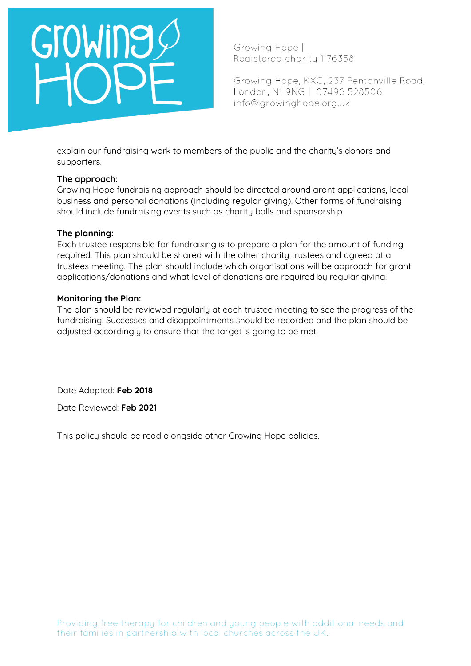# GroWing

Growing Hope | Reaistered charity 1176358

Growing Hope, KXC, 237 Pentonville Road, London, N1 9NG | 07496 528506 info@growinghope.org.uk

explain our fundraising work to members of the public and the charity's donors and supporters.

### **The approach:**

Growing Hope fundraising approach should be directed around grant applications, local business and personal donations (including regular giving). Other forms of fundraising should include fundraising events such as charity balls and sponsorship.

## **The planning:**

Each trustee responsible for fundraising is to prepare a plan for the amount of funding required. This plan should be shared with the other charity trustees and agreed at a trustees meeting. The plan should include which organisations will be approach for grant applications/donations and what level of donations are required by regular giving.

### **Monitoring the Plan:**

The plan should be reviewed regularly at each trustee meeting to see the progress of the fundraising. Successes and disappointments should be recorded and the plan should be adjusted accordingly to ensure that the target is going to be met.

Date Adopted: **Feb 2018**

Date Reviewed: **Feb 2021**

This policy should be read alongside other Growing Hope policies.